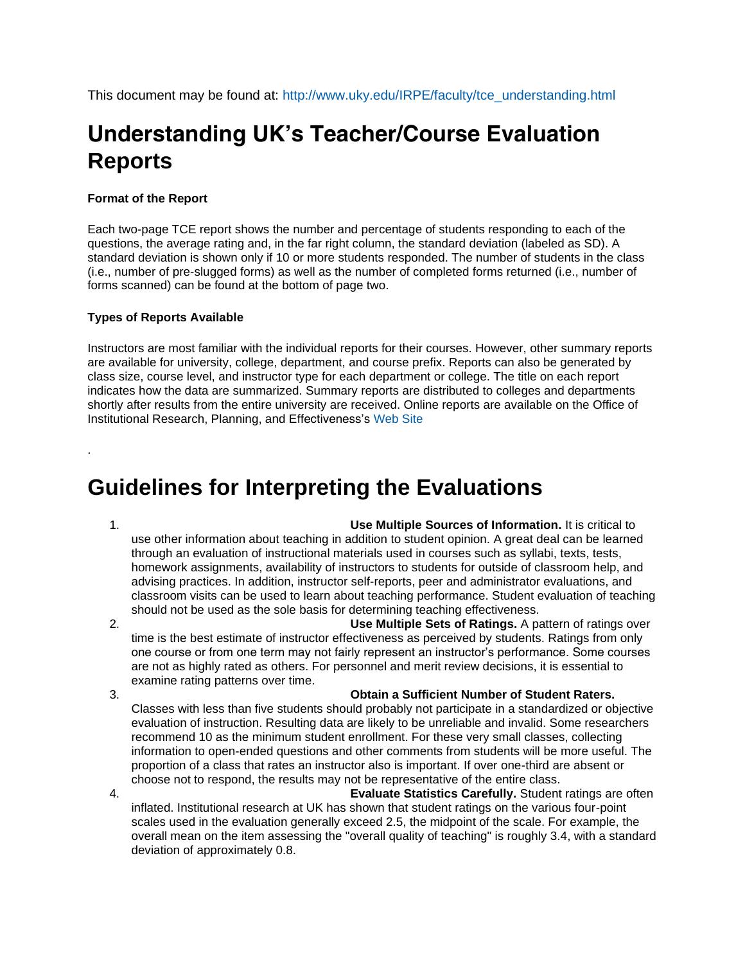This document may be found at: [http://www.uky.edu/IRPE/faculty/tce\\_understanding.html](http://www.uky.edu/IRPE/faculty/tce_understanding.html)

# **Understanding UK's Teacher/Course Evaluation Reports**

### **Format of the Report**

Each two-page TCE report shows the number and percentage of students responding to each of the questions, the average rating and, in the far right column, the standard deviation (labeled as SD). A standard deviation is shown only if 10 or more students responded. The number of students in the class (i.e., number of pre-slugged forms) as well as the number of completed forms returned (i.e., number of forms scanned) can be found at the bottom of page two.

#### **Types of Reports Available**

Instructors are most familiar with the individual reports for their courses. However, other summary reports are available for university, college, department, and course prefix. Reports can also be generated by class size, course level, and instructor type for each department or college. The title on each report indicates how the data are summarized. Summary reports are distributed to colleges and departments shortly after results from the entire university are received. Online reports are available on the Office of Institutional Research, Planning, and Effectiveness's [Web Site](http://www.uky.edu/IRPE/faculty/tce.html)

## **Guidelines for Interpreting the Evaluations**

.

1. **Use Multiple Sources of Information.** It is critical to use other information about teaching in addition to student opinion. A great deal can be learned through an evaluation of instructional materials used in courses such as syllabi, texts, tests, homework assignments, availability of instructors to students for outside of classroom help, and advising practices. In addition, instructor self-reports, peer and administrator evaluations, and classroom visits can be used to learn about teaching performance. Student evaluation of teaching should not be used as the sole basis for determining teaching effectiveness.

- 2. **Use Multiple Sets of Ratings.** A pattern of ratings over time is the best estimate of instructor effectiveness as perceived by students. Ratings from only one course or from one term may not fairly represent an instructor's performance. Some courses are not as highly rated as others. For personnel and merit review decisions, it is essential to examine rating patterns over time.
- 

3. **Obtain a Sufficient Number of Student Raters.** 

Classes with less than five students should probably not participate in a standardized or objective evaluation of instruction. Resulting data are likely to be unreliable and invalid. Some researchers recommend 10 as the minimum student enrollment. For these very small classes, collecting information to open-ended questions and other comments from students will be more useful. The proportion of a class that rates an instructor also is important. If over one-third are absent or choose not to respond, the results may not be representative of the entire class.

4. **Evaluate Statistics Carefully.** Student ratings are often inflated. Institutional research at UK has shown that student ratings on the various four-point scales used in the evaluation generally exceed 2.5, the midpoint of the scale. For example, the overall mean on the item assessing the "overall quality of teaching" is roughly 3.4, with a standard deviation of approximately 0.8.